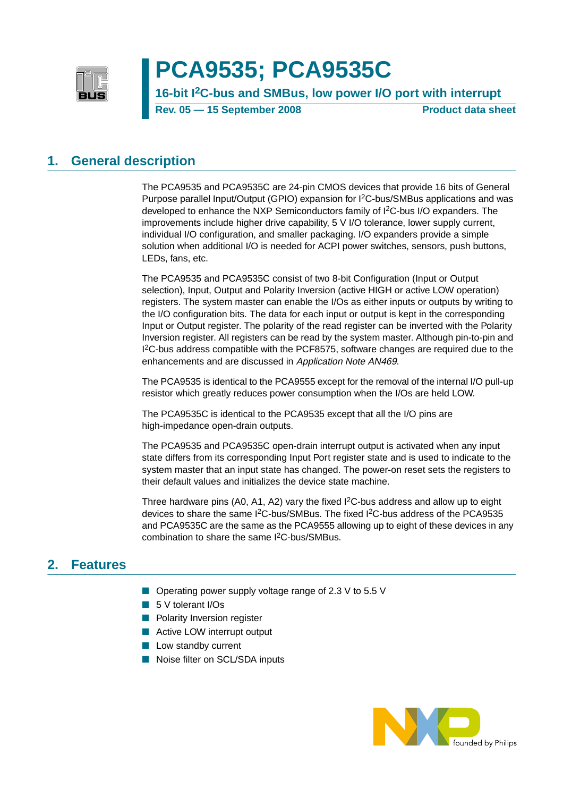

# **PCA9535; PCA9535C**

**16-bit I2C-bus and SMBus, low power I/O port with interrupt Rev. 05 — 15 September 2008** Product data sheet

### <span id="page-0-0"></span>**1. General description**

The PCA9535 and PCA9535C are 24-pin CMOS devices that provide 16 bits of General Purpose parallel Input/Output (GPIO) expansion for I2C-bus/SMBus applications and was developed to enhance the NXP Semiconductors family of I2C-bus I/O expanders. The improvements include higher drive capability, 5 V I/O tolerance, lower supply current, individual I/O configuration, and smaller packaging. I/O expanders provide a simple solution when additional I/O is needed for ACPI power switches, sensors, push buttons, LEDs, fans, etc.

The PCA9535 and PCA9535C consist of two 8-bit Configuration (Input or Output selection), Input, Output and Polarity Inversion (active HIGH or active LOW operation) registers. The system master can enable the I/Os as either inputs or outputs by writing to the I/O configuration bits. The data for each input or output is kept in the corresponding Input or Output register. The polarity of the read register can be inverted with the Polarity Inversion register. All registers can be read by the system master. Although pin-to-pin and I 2C-bus address compatible with the PCF8575, software changes are required due to the enhancements and are discussed in Application Note AN469.

The PCA9535 is identical to the PCA9555 except for the removal of the internal I/O pull-up resistor which greatly reduces power consumption when the I/Os are held LOW.

The PCA9535C is identical to the PCA9535 except that all the I/O pins are high-impedance open-drain outputs.

The PCA9535 and PCA9535C open-drain interrupt output is activated when any input state differs from its corresponding Input Port register state and is used to indicate to the system master that an input state has changed. The power-on reset sets the registers to their default values and initializes the device state machine.

Three hardware pins  $(A0, A1, A2)$  vary the fixed  $I<sup>2</sup>C$ -bus address and allow up to eight devices to share the same I<sup>2</sup>C-bus/SMBus. The fixed I<sup>2</sup>C-bus address of the PCA9535 and PCA9535C are the same as the PCA9555 allowing up to eight of these devices in any combination to share the same I2C-bus/SMBus.

### <span id="page-0-1"></span>**2. Features**

- Operating power supply voltage range of 2.3 V to 5.5 V
- 5 V tolerant I/Os
- Polarity Inversion register
- Active LOW interrupt output
- Low standby current
- Noise filter on SCL/SDA inputs

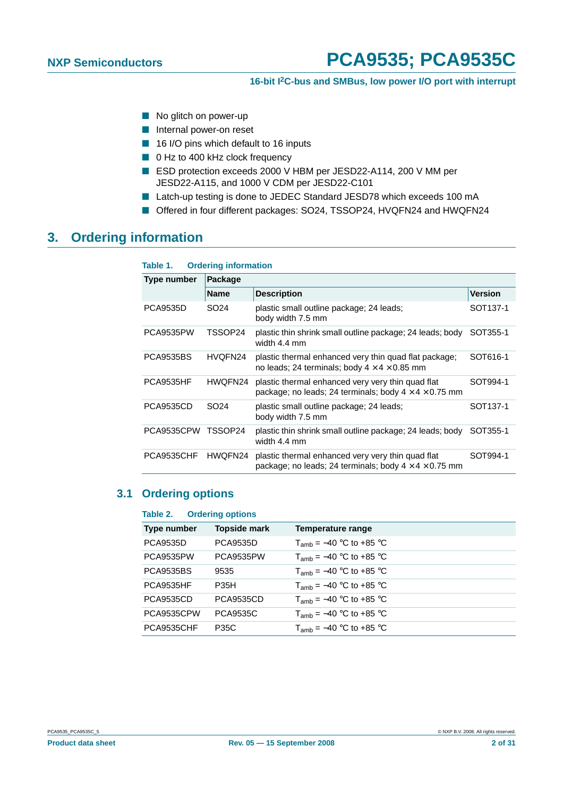- No glitch on power-up
- Internal power-on reset
- 16 I/O pins which default to 16 inputs
- 0 Hz to 400 kHz clock frequency
- ESD protection exceeds 2000 V HBM per JESD22-A114, 200 V MM per JESD22-A115, and 1000 V CDM per JESD22-C101
- Latch-up testing is done to JEDEC Standard JESD78 which exceeds 100 mA
- Offered in four different packages: SO24, TSSOP24, HVQFN24 and HWQFN24

### <span id="page-1-0"></span>**3. Ordering information**

| Table 1.           | <b>Ordering information</b> |                                                                                                                        |                      |
|--------------------|-----------------------------|------------------------------------------------------------------------------------------------------------------------|----------------------|
| <b>Type number</b> | Package                     |                                                                                                                        |                      |
|                    | <b>Name</b>                 | <b>Description</b>                                                                                                     | Version              |
| <b>PCA9535D</b>    | SO <sub>24</sub>            | plastic small outline package; 24 leads;<br>body width 7.5 mm                                                          | SOT <sub>137-1</sub> |
| <b>PCA9535PW</b>   | TSSOP24                     | plastic thin shrink small outline package; 24 leads; body<br>width 4.4 mm                                              | SOT355-1             |
| <b>PCA9535BS</b>   | HVQFN24                     | plastic thermal enhanced very thin quad flat package;<br>no leads; 24 terminals; body $4 \times 4 \times 0.85$ mm      | SOT616-1             |
| PCA9535HF          | HWQFN24                     | plastic thermal enhanced very very thin quad flat<br>package; no leads; 24 terminals; body $4 \times 4 \times 0.75$ mm | SOT994-1             |
| <b>PCA9535CD</b>   | SO <sub>24</sub>            | plastic small outline package; 24 leads;<br>body width 7.5 mm                                                          | SOT <sub>137-1</sub> |
| PCA9535CPW         | TSSOP24                     | plastic thin shrink small outline package; 24 leads; body<br>width 4.4 mm                                              | SOT355-1             |
| PCA9535CHF         | HWQFN24                     | plastic thermal enhanced very very thin quad flat<br>package; no leads; 24 terminals; body $4 \times 4 \times 0.75$ mm | SOT994-1             |

### <span id="page-1-1"></span>**3.1 Ordering options**

| Table 2.         | <b>Ordering options</b> |                                     |
|------------------|-------------------------|-------------------------------------|
| Type number      | <b>Topside mark</b>     | Temperature range                   |
| <b>PCA9535D</b>  | <b>PCA9535D</b>         | $T_{amb} = -40$ °C to +85 °C        |
| PCA9535PW        | PCA9535PW               | $T_{amb} = -40$ °C to +85 °C        |
| <b>PCA9535BS</b> | 9535                    | $T_{\text{amb}} = -40$ °C to +85 °C |
| <b>PCA9535HF</b> | <b>P35H</b>             | $T_{\text{amb}} = -40$ °C to +85 °C |
| <b>PCA9535CD</b> | <b>PCA9535CD</b>        | $T_{amb}$ = -40 °C to +85 °C        |
| PCA9535CPW       | <b>PCA9535C</b>         | $T_{amb}$ = -40 °C to +85 °C        |
| PCA9535CHF       | <b>P35C</b>             | $T_{amb}$ = -40 °C to +85 °C        |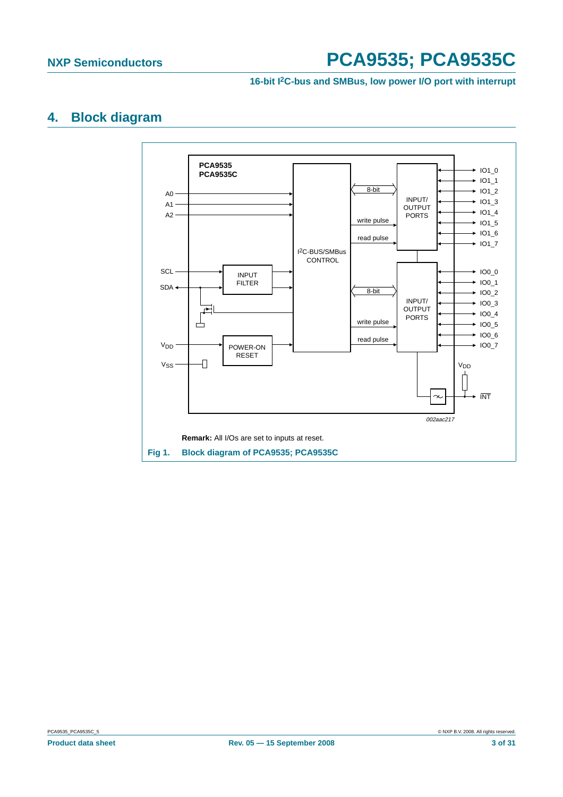#### **16-bit I2C-bus and SMBus, low power I/O port with interrupt**

# <span id="page-2-1"></span>**4. Block diagram**



<span id="page-2-0"></span>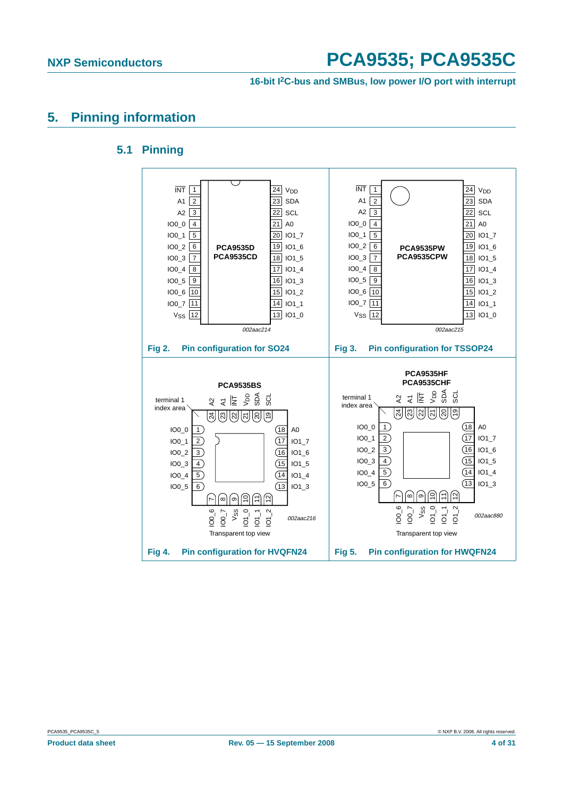**16-bit I2C-bus and SMBus, low power I/O port with interrupt**

## <span id="page-3-1"></span><span id="page-3-0"></span>**5. Pinning information**

### **5.1 Pinning**

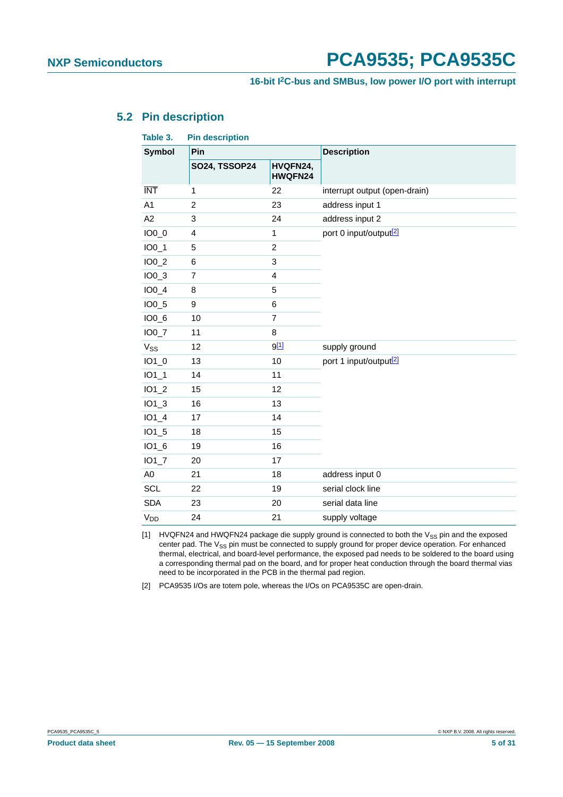### <span id="page-4-3"></span>**5.2 Pin description**

<span id="page-4-2"></span>

| Table 3.        | <b>Pin description</b> |                         |                                    |
|-----------------|------------------------|-------------------------|------------------------------------|
| <b>Symbol</b>   | Pin                    |                         | <b>Description</b>                 |
|                 | <b>SO24, TSSOP24</b>   | HVQFN24,<br>HWQFN24     |                                    |
| <b>INT</b>      | $\mathbf{1}$           | 22                      | interrupt output (open-drain)      |
| A1              | $\overline{c}$         | 23                      | address input 1                    |
| A2              | 3                      | 24                      | address input 2                    |
| $IO0_0$         | 4                      | 1                       | port 0 input/output <sup>[2]</sup> |
| $IO0_1$         | 5                      | $\boldsymbol{2}$        |                                    |
| $IO0_2$         | 6                      | 3                       |                                    |
| $IO0_3$         | $\overline{7}$         | $\overline{\mathbf{4}}$ |                                    |
| $IO0_4$         | 8                      | $\overline{5}$          |                                    |
| $IO0_5$         | 9                      | 6                       |                                    |
| $IO0_6$         | 10                     | $\overline{7}$          |                                    |
| $IO0_7$         | 11                     | $\bf8$                  |                                    |
| V <sub>SS</sub> | 12                     | 9[1]                    | supply ground                      |
| $IO1_0$         | 13                     | 10                      | port 1 input/output <sup>[2]</sup> |
| $IO1_1$         | 14                     | 11                      |                                    |
| $IO1_2$         | 15                     | 12                      |                                    |
| $IO1_3$         | 16                     | 13                      |                                    |
| $IO1_4$         | 17                     | 14                      |                                    |
| $IO1_5$         | 18                     | 15                      |                                    |
| $IO1_6$         | 19                     | 16                      |                                    |
| $IO1_7$         | 20                     | 17                      |                                    |
| A <sub>0</sub>  | 21                     | 18                      | address input 0                    |
| <b>SCL</b>      | 22                     | 19                      | serial clock line                  |
| <b>SDA</b>      | 23                     | 20                      | serial data line                   |
| V <sub>DD</sub> | 24                     | 21                      | supply voltage                     |

<span id="page-4-1"></span>[1] HVQFN24 and HWQFN24 package die supply ground is connected to both the  $V_{SS}$  pin and the exposed center pad. The V<sub>SS</sub> pin must be connected to supply ground for proper device operation. For enhanced thermal, electrical, and board-level performance, the exposed pad needs to be soldered to the board using a corresponding thermal pad on the board, and for proper heat conduction through the board thermal vias need to be incorporated in the PCB in the thermal pad region.

<span id="page-4-0"></span>[2] PCA9535 I/Os are totem pole, whereas the I/Os on PCA9535C are open-drain.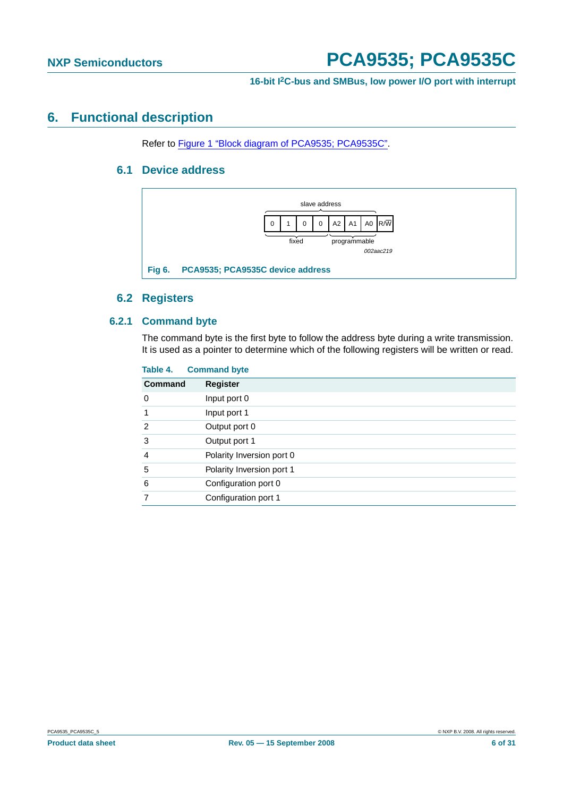#### **16-bit I2C-bus and SMBus, low power I/O port with interrupt**

### <span id="page-5-2"></span><span id="page-5-1"></span>**6. Functional description**

Refer to [Figure 1 "Block diagram of PCA9535; PCA9535C".](#page-2-0)

#### **6.1 Device address**



#### <span id="page-5-0"></span>**6.2 Registers**

#### <span id="page-5-4"></span><span id="page-5-3"></span>**6.2.1 Command byte**

The command byte is the first byte to follow the address byte during a write transmission. It is used as a pointer to determine which of the following registers will be written or read.

| <b>Command byte</b>               |  |
|-----------------------------------|--|
| <b>Command</b><br><b>Register</b> |  |
| Input port 0                      |  |
| Input port 1                      |  |
| Output port 0                     |  |
| Output port 1                     |  |
| Polarity Inversion port 0         |  |
| Polarity Inversion port 1         |  |
| Configuration port 0              |  |
| Configuration port 1              |  |
|                                   |  |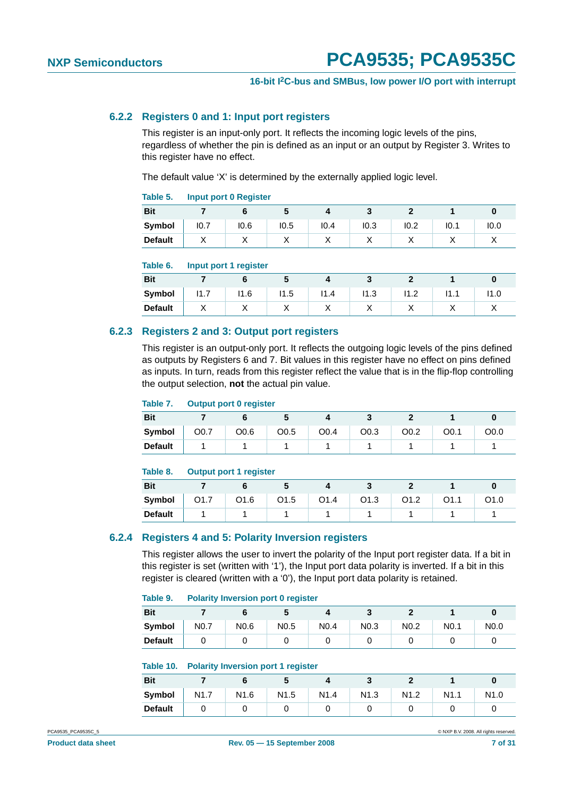#### <span id="page-6-0"></span>**6.2.2 Registers 0 and 1: Input port registers**

This register is an input-only port. It reflects the incoming logic levels of the pins, regardless of whether the pin is defined as an input or an output by Register 3. Writes to this register have no effect.

The default value 'X' is determined by the externally applied logic level.

#### **Table 5. Input port 0 Register**

| <b>Bit</b>     |           |      |           |      |      |      |      |           |
|----------------|-----------|------|-----------|------|------|------|------|-----------|
| Symbol         | 10.7      | 10.6 | 10.5      | 10.4 | 10.3 | 10.2 | 10.1 | 10.0      |
| <b>Default</b> | $\lambda$ | ⌒    | $\lambda$ | ,,   |      |      |      | $\lambda$ |

#### **Table 6. Input port 1 register**

| <b>Bit</b>     |              |           |           |      |           |                    |           |           |
|----------------|--------------|-----------|-----------|------|-----------|--------------------|-----------|-----------|
| Symbol         | 14<br>-<br>. | 11.6      | 11.5      | 11.4 | 11.3      | 14.0<br>. <u>.</u> | ۱1<br>.   | .         |
| <b>Default</b> | $\lambda$    | $\lambda$ | $\lambda$ | ↗    | $\lambda$ | $\lambda$          | $\lambda$ | $\lambda$ |

#### <span id="page-6-1"></span>**6.2.3 Registers 2 and 3: Output port registers**

This register is an output-only port. It reflects the outgoing logic levels of the pins defined as outputs by Registers 6 and 7. Bit values in this register have no effect on pins defined as inputs. In turn, reads from this register reflect the value that is in the flip-flop controlling the output selection, **not** the actual pin value.

#### **Table 7. Output port 0 register**

| <b>Bit</b>     |      |      |                  |      |      |      |      |      |
|----------------|------|------|------------------|------|------|------|------|------|
| Symbol         | O0.7 | O0.6 | O <sub>0.5</sub> | O0.4 | O0.3 | O0.2 | O0.1 | O0.0 |
| <b>Default</b> |      |      |                  |      |      |      |      |      |

#### **Table 8. Output port 1 register**

| <b>Bit</b>     |                  |      |                  |      |                  |                  |      |  |
|----------------|------------------|------|------------------|------|------------------|------------------|------|--|
| Symbol         | O <sub>1.7</sub> | O1.6 | O <sub>1.5</sub> | O1.4 | O <sub>1.3</sub> | O <sub>1.2</sub> | O1.1 |  |
| <b>Default</b> |                  |      |                  |      |                  |                  |      |  |

#### <span id="page-6-2"></span>**6.2.4 Registers 4 and 5: Polarity Inversion registers**

This register allows the user to invert the polarity of the Input port register data. If a bit in this register is set (written with '1'), the Input port data polarity is inverted. If a bit in this register is cleared (written with a '0'), the Input port data polarity is retained.

#### **Table 9. Polarity Inversion port 0 register**

| <b>Bit</b>     |                  |                  |                  |                  |                  |                  |                  |                  |
|----------------|------------------|------------------|------------------|------------------|------------------|------------------|------------------|------------------|
| Symbol         | N <sub>0.7</sub> | N <sub>0.6</sub> | N <sub>0.5</sub> | N <sub>0.4</sub> | N <sub>0.3</sub> | N <sub>0.2</sub> | N <sub>0.1</sub> | N <sub>0.0</sub> |
| <b>Default</b> |                  |                  |                  |                  |                  |                  |                  |                  |

#### **Table 10. Polarity Inversion port 1 register**

| <b>Bit</b>     |                  |                  |                  |      |      |      |      |      |
|----------------|------------------|------------------|------------------|------|------|------|------|------|
| Symbol         | N <sub>1.7</sub> | N <sub>1.6</sub> | N <sub>1.5</sub> | N1.4 | N1.3 | N1.2 | N1.1 | N1.0 |
| <b>Default</b> |                  |                  |                  |      |      |      |      |      |

PCA9535\_PCA9535C\_5 © NXP B.V. 2008. All rights reserved.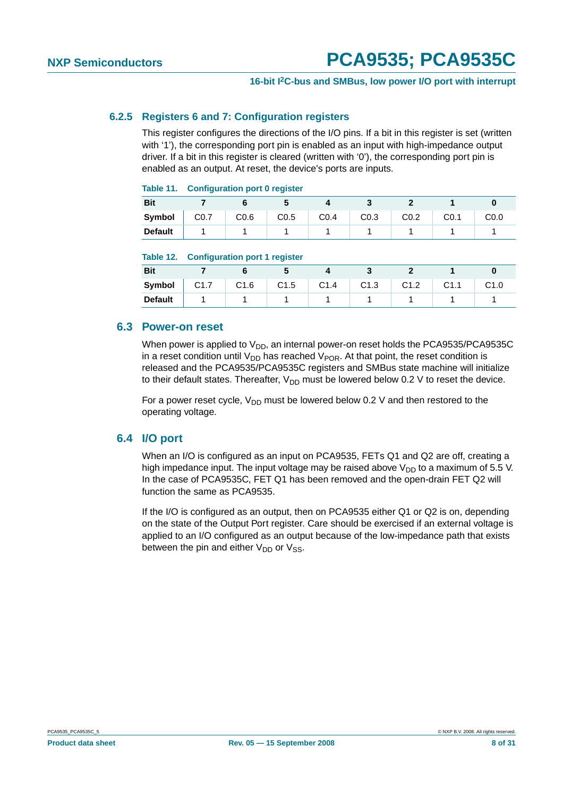#### <span id="page-7-0"></span>**6.2.5 Registers 6 and 7: Configuration registers**

This register configures the directions of the I/O pins. If a bit in this register is set (written with '1'), the corresponding port pin is enabled as an input with high-impedance output driver. If a bit in this register is cleared (written with '0'), the corresponding port pin is enabled as an output. At reset, the device's ports are inputs.

#### **Table 11. Configuration port 0 register**

| --------       | ___  |      | _____ |      |      |      |      |      |
|----------------|------|------|-------|------|------|------|------|------|
| <b>Bit</b>     |      |      |       |      |      |      |      |      |
| Symbol         | CO.7 | CO.6 | CO.5  | CO.4 | CO.3 | CO.2 | CO.1 | C0.0 |
| <b>Default</b> |      |      |       |      |      |      |      |      |

#### **Table 12. Configuration port 1 register**

| <b>Bit</b>     |      |      | .    |      |      |      |                  |      |
|----------------|------|------|------|------|------|------|------------------|------|
| Symbol         | C1.7 | C1.6 | C1.5 | C1.4 | C1.3 | C1.2 | C <sub>1.1</sub> | C1.0 |
| <b>Default</b> |      |      |      |      |      |      |                  |      |

#### <span id="page-7-1"></span>**6.3 Power-on reset**

When power is applied to  $V_{DD}$ , an internal power-on reset holds the PCA9535/PCA9535C in a reset condition until  $V_{DD}$  has reached  $V_{POR}$ . At that point, the reset condition is released and the PCA9535/PCA9535C registers and SMBus state machine will initialize to their default states. Thereafter,  $V_{DD}$  must be lowered below 0.2 V to reset the device.

For a power reset cycle,  $V_{DD}$  must be lowered below 0.2 V and then restored to the operating voltage.

#### <span id="page-7-2"></span>**6.4 I/O port**

When an I/O is configured as an input on PCA9535, FETs Q1 and Q2 are off, creating a high impedance input. The input voltage may be raised above  $V_{DD}$  to a maximum of 5.5 V. In the case of PCA9535C, FET Q1 has been removed and the open-drain FET Q2 will function the same as PCA9535.

If the I/O is configured as an output, then on PCA9535 either Q1 or Q2 is on, depending on the state of the Output Port register. Care should be exercised if an external voltage is applied to an I/O configured as an output because of the low-impedance path that exists between the pin and either  $V_{DD}$  or  $V_{SS}$ .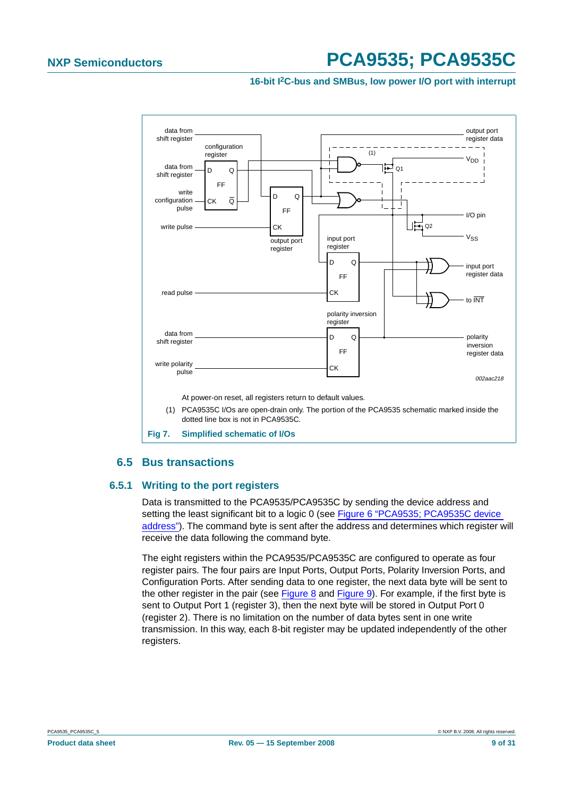#### **16-bit I2C-bus and SMBus, low power I/O port with interrupt**



### **6.5 Bus transactions**

#### <span id="page-8-1"></span><span id="page-8-0"></span>**6.5.1 Writing to the port registers**

Data is transmitted to the PCA9535/PCA9535C by sending the device address and setting the least significant bit to a logic 0 (see [Figure 6 "PCA9535; PCA9535C device](#page-5-0) [address"](#page-5-0)). The command byte is sent after the address and determines which register will receive the data following the command byte.

The eight registers within the PCA9535/PCA9535C are configured to operate as four register pairs. The four pairs are Input Ports, Output Ports, Polarity Inversion Ports, and Configuration Ports. After sending data to one register, the next data byte will be sent to the other register in the pair (see [Figure](#page-9-0) 8 and [Figure](#page-9-1) 9). For example, if the first byte is sent to Output Port 1 (register 3), then the next byte will be stored in Output Port 0 (register 2). There is no limitation on the number of data bytes sent in one write transmission. In this way, each 8-bit register may be updated independently of the other registers.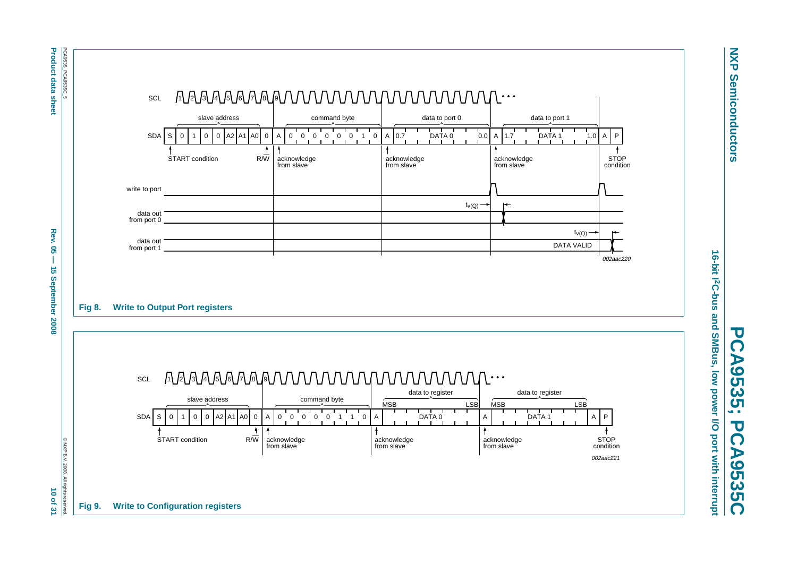

**NXP Semiconductors**

**Semiconductors** 

**NXP** 

**PCA9535; PCA9535C**

 $\overline{\mathbf{U}}$  $\overline{\Omega}$ 

<span id="page-9-1"></span>**A9535C** 

A9535;

 $\overline{\mathbf{u}}$  $\overline{\Omega}$ 

Rev. 8  $\vec{5}$ 

 $\vec{0}$  $\mathbf{Q}$ 

<span id="page-9-0"></span> $\mathbf{z}$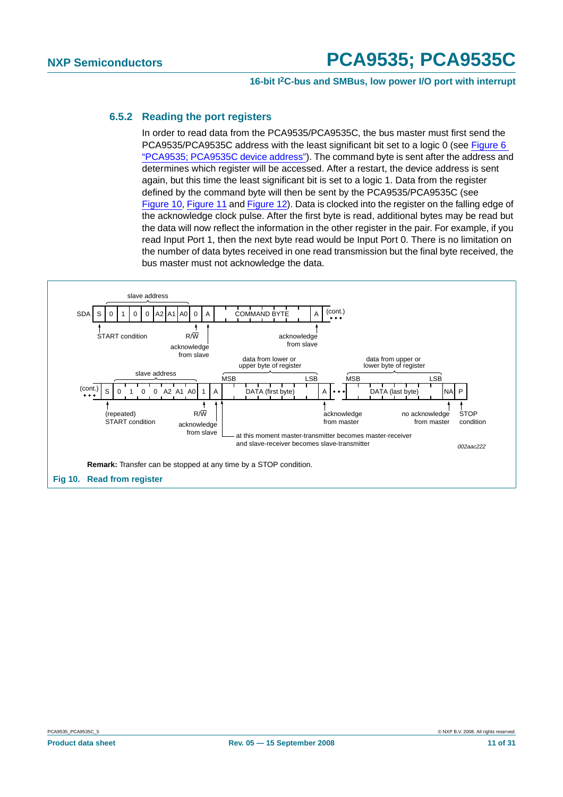#### **16-bit I2C-bus and SMBus, low power I/O port with interrupt**

#### <span id="page-10-1"></span>**6.5.2 Reading the port registers**

In order to read data from the PCA9535/PCA9535C, the bus master must first send the PCA9535/PCA9535C address with the least significant bit set to a logic 0 (see [Figure 6](#page-5-0) "PCA9535; [PCA9535C](#page-5-0) device address"). The command byte is sent after the address and determines which register will be accessed. After a restart, the device address is sent again, but this time the least significant bit is set to a logic 1. Data from the register defined by the command byte will then be sent by the PCA9535/PCA9535C (see [Figure](#page-10-0) 10, [Figure](#page-11-0) 11 and [Figure](#page-12-0) 12). Data is clocked into the register on the falling edge of the acknowledge clock pulse. After the first byte is read, additional bytes may be read but the data will now reflect the information in the other register in the pair. For example, if you read Input Port 1, then the next byte read would be Input Port 0. There is no limitation on the number of data bytes received in one read transmission but the final byte received, the bus master must not acknowledge the data.

<span id="page-10-0"></span>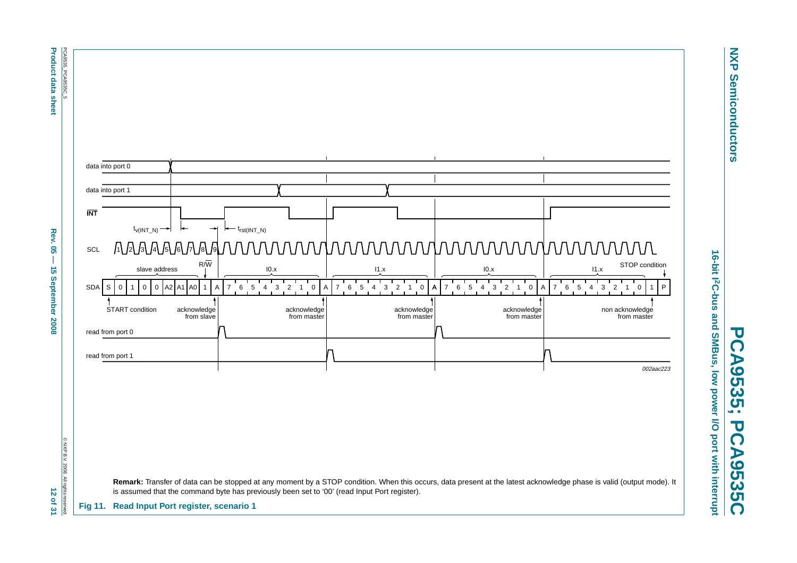

**NXP Semiconductors**

**Semiconductors** 

**NXP** 

**PCA9535; PCA9535C**

 $\overline{\mathbf{U}}$ 

<span id="page-11-0"></span>CA9535C

 $\overline{\mathbf{U}}$ 

CA9535;

**Product data sheet** 

**Product data sheet Rev. 14 Dex 05 — 15 September 2008 12 of 312 of 312 of 31** Rev.  $\overline{\mathbf{S}}$ Ī  $\vec{5}$ September 2008

12 of 31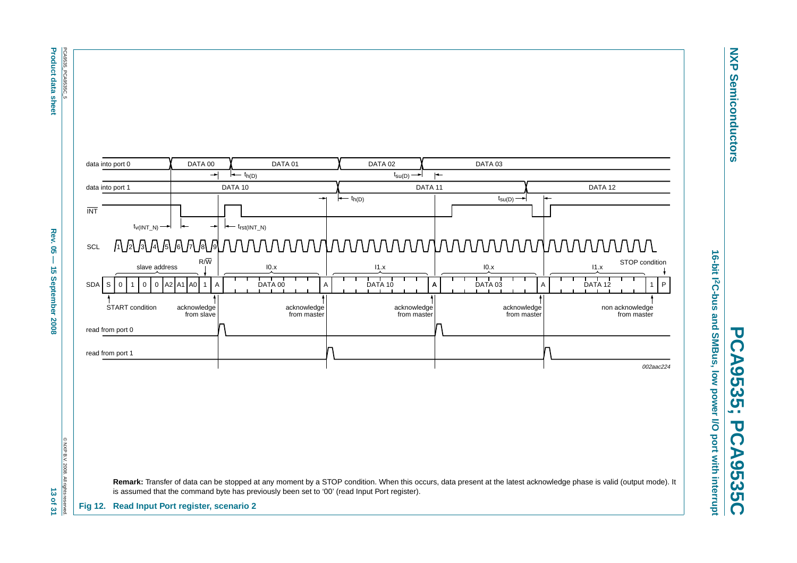**Product data sheet Product data sheet Abel Rev. 05 — 15 September 2008 13 Of 31**  $\pm$  **30**  $\pm$  **31** PCA9535\_PCA9535C\_5 PCA9535\_PCA9535C\_5

Rev.  $\overline{\mathbf{S}}$  $\overline{1}$  $\vec{5}$ 

September 2008

data into port 0 DATA 00 DATA 01 DATA 02 DATA 03  $\overline{\phantom{a}}$  $\leftarrow$  t<sub>h(D)</sub>  $t_{\text{SU}(D)}$  $\vdash$ data into port 1 DATA 10 DATA 11 DATA 12 $t_{h(D)}$  $t_{\text{SU}(D)}$  – INT $t_{\text{V(INT N)}} \rightarrow | \leftarrow | \leftarrow | \leftarrow t_{\text{rst(INT N)}}$ SCL 11 121 131 141 151 161 171 181 19  $\frac{\sinh \frac{\sinh \theta}{\sinh \theta}}{\sinh \frac{\sinh \theta}{\sinh \theta}} = \frac{\frac{\sinh \frac{\sinh \theta}{\sinh \theta}}{\sinh \frac{\sinh \theta}{\sinh \theta}} + \frac{\frac{\sinh \frac{\sinh \theta}{\sinh \theta}}{\sinh \frac{\sinh \theta}{\sinh \theta}} + \frac{\frac{\sinh \frac{\sinh \theta}{\sinh \theta}}{\sinh \frac{\sinh \theta}{\sinh \theta}} + \frac{\frac{\sinh \frac{\sinh \theta}{\sinh \theta}}{\sinh \frac{\sinh \theta}{\sinh \theta}}}{\sinh \frac{\sinh \theta}{\sinh \theta}}}{\frac{\frac{\sinh \frac$  I0.x STOP condition slave addressI1.x I0.x I1.x SDAAAISI0I1I0I0IA2IA1IA0I1IAI DATA00 IAI DATA10 IA DATA 00 DATA 10 DATA 03 DATA 12A1P non acknowledge acknowledge from masteracknowledge from masteracknowledge from masterfrom masterread from port 0 read from port 1

<span id="page-12-0"></span>

© NXP B.V. 2008. All rights © NXP B.V. 2008. All rights reserved. 13 of 31

**PCA9535; PCA9535C**  $\overline{\mathbf{U}}$ CA9535; **PCA9535C**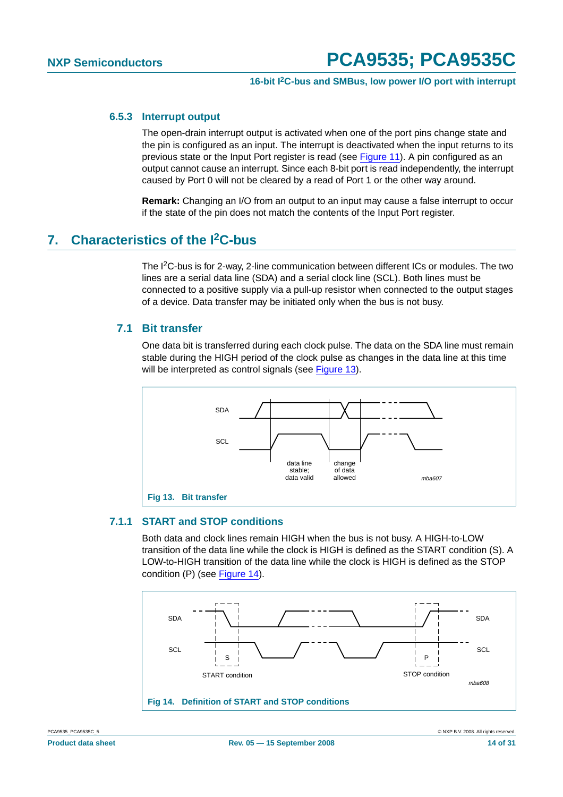#### <span id="page-13-2"></span>**6.5.3 Interrupt output**

The open-drain interrupt output is activated when one of the port pins change state and the pin is configured as an input. The interrupt is deactivated when the input returns to its previous state or the Input Port register is read (see [Figure](#page-11-0) 11). A pin configured as an output cannot cause an interrupt. Since each 8-bit port is read independently, the interrupt caused by Port 0 will not be cleared by a read of Port 1 or the other way around.

**Remark:** Changing an I/O from an output to an input may cause a false interrupt to occur if the state of the pin does not match the contents of the Input Port register.

## <span id="page-13-3"></span>**7. Characteristics of the I2C-bus**

The I2C-bus is for 2-way, 2-line communication between different ICs or modules. The two lines are a serial data line (SDA) and a serial clock line (SCL). Both lines must be connected to a positive supply via a pull-up resistor when connected to the output stages of a device. Data transfer may be initiated only when the bus is not busy.

### <span id="page-13-4"></span>**7.1 Bit transfer**

One data bit is transferred during each clock pulse. The data on the SDA line must remain stable during the HIGH period of the clock pulse as changes in the data line at this time will be interpreted as control signals (see [Figure](#page-13-0) 13).



#### <span id="page-13-5"></span><span id="page-13-0"></span>**7.1.1 START and STOP conditions**

Both data and clock lines remain HIGH when the bus is not busy. A HIGH-to-LOW transition of the data line while the clock is HIGH is defined as the START condition (S). A LOW-to-HIGH transition of the data line while the clock is HIGH is defined as the STOP condition (P) (see [Figure](#page-13-1) 14).



<span id="page-13-1"></span>PCA9535\_PCA9535C\_5 © NXP B.V. 2008. All rights reserved.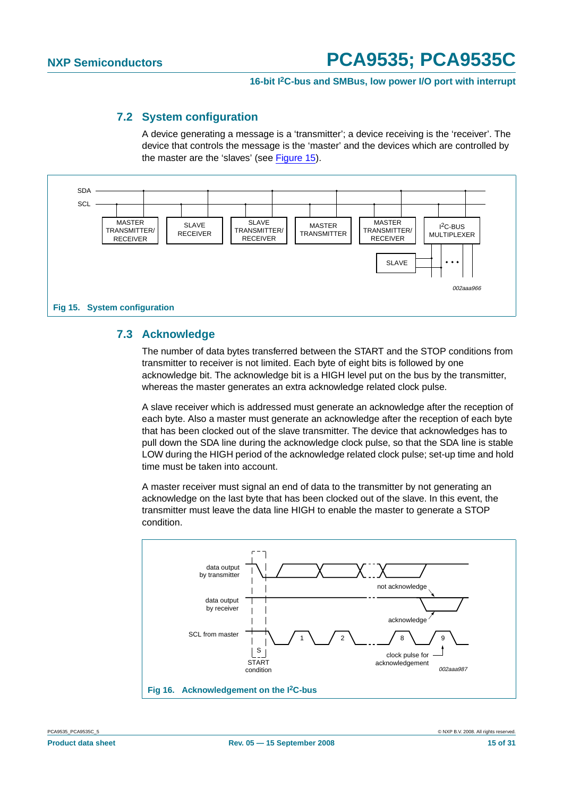#### **7.2 System configuration**

A device generating a message is a 'transmitter'; a device receiving is the 'receiver'. The device that controls the message is the 'master' and the devices which are controlled by the master are the 'slaves' (see [Figure](#page-14-0) 15).

<span id="page-14-1"></span>

#### <span id="page-14-2"></span><span id="page-14-0"></span>**7.3 Acknowledge**

The number of data bytes transferred between the START and the STOP conditions from transmitter to receiver is not limited. Each byte of eight bits is followed by one acknowledge bit. The acknowledge bit is a HIGH level put on the bus by the transmitter, whereas the master generates an extra acknowledge related clock pulse.

A slave receiver which is addressed must generate an acknowledge after the reception of each byte. Also a master must generate an acknowledge after the reception of each byte that has been clocked out of the slave transmitter. The device that acknowledges has to pull down the SDA line during the acknowledge clock pulse, so that the SDA line is stable LOW during the HIGH period of the acknowledge related clock pulse; set-up time and hold time must be taken into account.

A master receiver must signal an end of data to the transmitter by not generating an acknowledge on the last byte that has been clocked out of the slave. In this event, the transmitter must leave the data line HIGH to enable the master to generate a STOP condition.

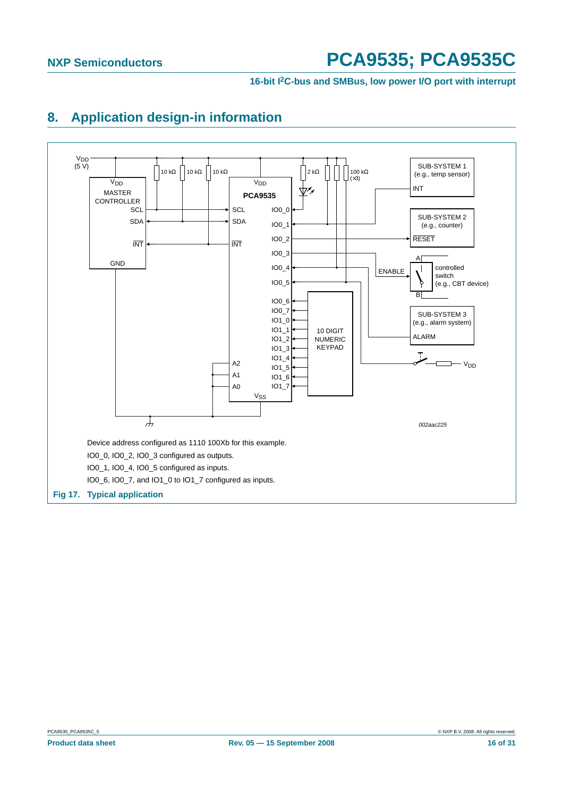#### **16-bit I2C-bus and SMBus, low power I/O port with interrupt**

# <span id="page-15-1"></span>**8. Application design-in information**

<span id="page-15-0"></span>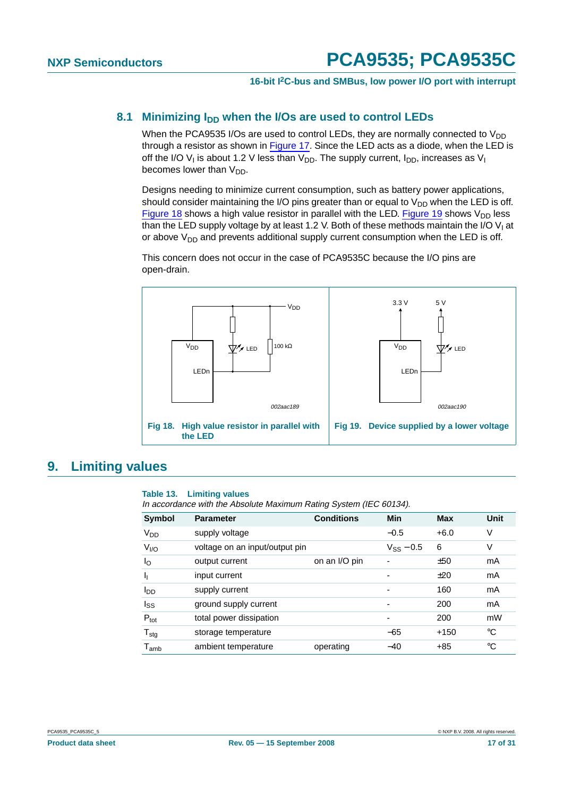#### <span id="page-16-2"></span>8.1 Minimizing I<sub>DD</sub> when the I/Os are used to control LEDs

When the PCA9535 I/Os are used to control LEDs, they are normally connected to  $V_{DD}$ through a resistor as shown in [Figure](#page-15-0) 17. Since the LED acts as a diode, when the LED is off the I/O V<sub>I</sub> is about 1.2 V less than V<sub>DD</sub>. The supply current,  $I_{DD}$ , increases as V<sub>I</sub> becomes lower than  $V_{DD}$ .

Designs needing to minimize current consumption, such as battery power applications, should consider maintaining the I/O pins greater than or equal to  $V_{DD}$  when the LED is off. [Figure](#page-16-1) 18 shows a high value resistor in parallel with the LED. Figure 19 shows  $V_{DD}$  less than the LED supply voltage by at least 1.2 V. Both of these methods maintain the I/O V<sub>I</sub> at or above  $V_{DD}$  and prevents additional supply current consumption when the LED is off.

This concern does not occur in the case of PCA9535C because the I/O pins are open-drain.



### <span id="page-16-3"></span>**9. Limiting values**

#### <span id="page-16-1"></span><span id="page-16-0"></span>**Table 13. Limiting values**

In accordance with the Absolute Maximum Rating System (IEC 60134).

| <b>Symbol</b>               | <b>Parameter</b>               | <b>Conditions</b> | Min                      | <b>Max</b> | Unit |
|-----------------------------|--------------------------------|-------------------|--------------------------|------------|------|
| <b>V<sub>DD</sub></b>       | supply voltage                 |                   | $-0.5$                   | $+6.0$     | V    |
| V <sub>I/O</sub>            | voltage on an input/output pin |                   | $V_{SS} - 0.5$           | 6          | ٧    |
| $I_{\rm O}$                 | output current                 | on an I/O pin     | ۰                        | ±50        | mA   |
| J <sub>I</sub>              | input current                  |                   | -                        | ±20        | mA   |
| <b>I</b> <sub>DD</sub>      | supply current                 |                   | -                        | 160        | mA   |
| $I_{SS}$                    | ground supply current          |                   | $\overline{\phantom{0}}$ | 200        | mA   |
| $P_{\text{tot}}$            | total power dissipation        |                   | -                        | 200        | mW   |
| $T_{\text{stg}}$            | storage temperature            |                   | $-65$                    | $+150$     | °C   |
| $\mathsf{T}_{\mathsf{amb}}$ | ambient temperature            | operating         | $-40$                    | $+85$      | °C   |
|                             |                                |                   |                          |            |      |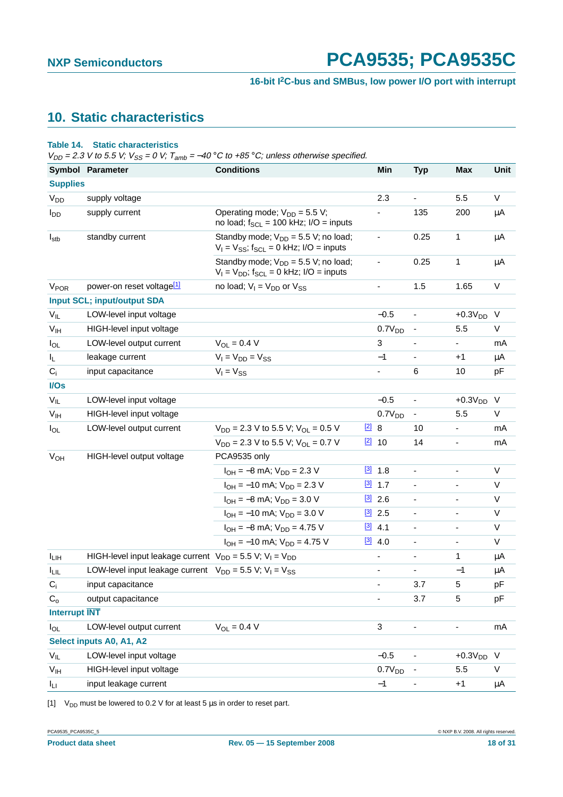# <span id="page-17-1"></span>**10. Static characteristics**

#### **Table 14. Static characteristics**

 $V_{DD}$  = 2.3 V to 5.5 V;  $V_{SS}$  = 0 V;  $T_{amb}$  = -40 °C to +85 °C; unless otherwise specified.

|                      | Symbol Parameter                                                   | <b>Conditions</b>                                                                                    |               | Min                      | <b>Typ</b>                   | Max                          | Unit    |
|----------------------|--------------------------------------------------------------------|------------------------------------------------------------------------------------------------------|---------------|--------------------------|------------------------------|------------------------------|---------|
| <b>Supplies</b>      |                                                                    |                                                                                                      |               |                          |                              |                              |         |
| V <sub>DD</sub>      | supply voltage                                                     |                                                                                                      |               | 2.3                      | $\blacksquare$               | 5.5                          | V       |
| l <sub>DD</sub>      | supply current                                                     | Operating mode; $V_{DD} = 5.5 V$ ;<br>no load; $f_{SCL} = 100$ kHz; I/O = inputs                     |               |                          | 135                          | 200                          | μA      |
| $I_{\text{stb}}$     | standby current                                                    | Standby mode; $V_{DD} = 5.5 V$ ; no load;<br>$V_1 = V_{SS}$ ; f <sub>SCL</sub> = 0 kHz; I/O = inputs |               |                          | 0.25                         | 1                            | μA      |
|                      |                                                                    | Standby mode; $V_{DD} = 5.5$ V; no load;<br>$V_1 = V_{DD}$ ; f <sub>SCL</sub> = 0 kHz; I/O = inputs  |               | $\blacksquare$           | 0.25                         | 1                            | μA      |
| V <sub>POR</sub>     | power-on reset voltage <sup>[1]</sup>                              | no load; $V_1 = V_{DD}$ or $V_{SS}$                                                                  |               | $\overline{\phantom{a}}$ | 1.5                          | 1.65                         | V       |
|                      | <b>Input SCL; input/output SDA</b>                                 |                                                                                                      |               |                          |                              |                              |         |
| $V_{IL}$             | LOW-level input voltage                                            |                                                                                                      |               | $-0.5$                   | $\overline{\phantom{a}}$     | $+0.3VDD$                    | $\vee$  |
| V <sub>IH</sub>      | HIGH-level input voltage                                           |                                                                                                      |               | 0.7V <sub>DD</sub>       | $\overline{a}$               | 5.5                          | V       |
| $I_{OL}$             | LOW-level output current                                           | $V_{OL} = 0.4 V$                                                                                     |               | 3                        |                              | $\overline{\phantom{0}}$     | mA      |
| IL.                  | leakage current                                                    | $V_1 = V_{DD} = V_{SS}$                                                                              |               | $-1$                     | $\qquad \qquad \blacksquare$ | $+1$                         | μA      |
| $C_i$                | input capacitance                                                  | $V_1 = V_{SS}$                                                                                       |               | $\blacksquare$           | 6                            | 10                           | pF      |
| I/Os                 |                                                                    |                                                                                                      |               |                          |                              |                              |         |
| $V_{IL}$             | LOW-level input voltage                                            |                                                                                                      |               | $-0.5$                   | $\qquad \qquad \blacksquare$ | $+0.3VDD$                    | - V     |
| V <sub>IH</sub>      | HIGH-level input voltage                                           |                                                                                                      |               | 0.7V <sub>DD</sub>       | $\qquad \qquad \blacksquare$ | 5.5                          | V       |
| $I_{OL}$             | LOW-level output current                                           | $V_{DD}$ = 2.3 V to 5.5 V; V <sub>OL</sub> = 0.5 V                                                   | $\boxed{2}$ 8 |                          | 10                           | ÷,                           | mA      |
|                      |                                                                    | $V_{DD}$ = 2.3 V to 5.5 V; V <sub>OL</sub> = 0.7 V                                                   |               | $[2]$ 10                 | 14                           | ۰                            | mA      |
| V <sub>OH</sub>      | HIGH-level output voltage                                          | PCA9535 only                                                                                         |               |                          |                              |                              |         |
|                      |                                                                    | $I_{OH} = -8$ mA; $V_{DD} = 2.3$ V                                                                   |               | $[3]$ 1.8                | $\qquad \qquad \blacksquare$ | $\overline{\phantom{0}}$     | V       |
|                      |                                                                    | $I_{OH} = -10$ mA; $V_{DD} = 2.3$ V                                                                  | $\boxed{3}$   | 1.7                      | $\qquad \qquad \blacksquare$ | $\overline{\phantom{0}}$     | V       |
|                      |                                                                    | $I_{OH} = -8$ mA; $V_{DD} = 3.0$ V                                                                   |               | $\frac{[3]}{2.6}$        | ÷                            | Ξ.                           | V       |
|                      |                                                                    | $I_{OH} = -10$ mA; $V_{DD} = 3.0$ V                                                                  |               | $[3]$ 2.5                | $\blacksquare$               | $\overline{\phantom{0}}$     | V       |
|                      |                                                                    | $I_{OH} = -8$ mA; $V_{DD} = 4.75$ V                                                                  |               | $[3]$ 4.1                | $\qquad \qquad \blacksquare$ | $\overline{\phantom{0}}$     | V       |
|                      |                                                                    | $I_{OH} = -10$ mA; $V_{DD} = 4.75$ V                                                                 |               | $[3]$ 4.0                | $\overline{\phantom{0}}$     | $\overline{\phantom{0}}$     | V       |
| $I_{LIH}$            | HIGH-level input leakage current $V_{DD} = 5.5 V$ ; $V_1 = V_{DD}$ |                                                                                                      |               | $\overline{\phantom{a}}$ | $\overline{\phantom{0}}$     | 1                            | μA      |
| <b>ILIL</b>          | LOW-level input leakage current $V_{DD} = 5.5 V$ ; $V_1 = V_{SS}$  |                                                                                                      |               | $\overline{\phantom{a}}$ | $\overline{\phantom{0}}$     | $-1$                         | μA      |
| $C_i$                | input capacitance                                                  |                                                                                                      |               |                          | 3.7                          | 5                            | pF      |
| $C_{\Omega}$         | output capacitance                                                 |                                                                                                      |               |                          | 3.7                          | 5                            | pF      |
| <b>Interrupt INT</b> |                                                                    |                                                                                                      |               |                          |                              |                              |         |
| $I_{OL}$             | LOW-level output current                                           | $V_{OL} = 0.4 V$                                                                                     |               | 3                        | $\qquad \qquad \blacksquare$ | $\qquad \qquad \blacksquare$ | mA      |
|                      | Select inputs A0, A1, A2                                           |                                                                                                      |               |                          |                              |                              |         |
| $V_{IL}$             | LOW-level input voltage                                            |                                                                                                      |               | $-0.5$                   |                              | $+0.3VDD$                    | $\vee$  |
| $V_{IH}$             | HIGH-level input voltage                                           |                                                                                                      |               | 0.7V <sub>DD</sub>       |                              | 5.5                          | V       |
| $I_{LI}$             | input leakage current                                              |                                                                                                      |               | $-1$                     |                              | $+1$                         | $\mu$ A |

<span id="page-17-0"></span>[1]  $V_{DD}$  must be lowered to 0.2 V for at least 5  $\mu$ s in order to reset part.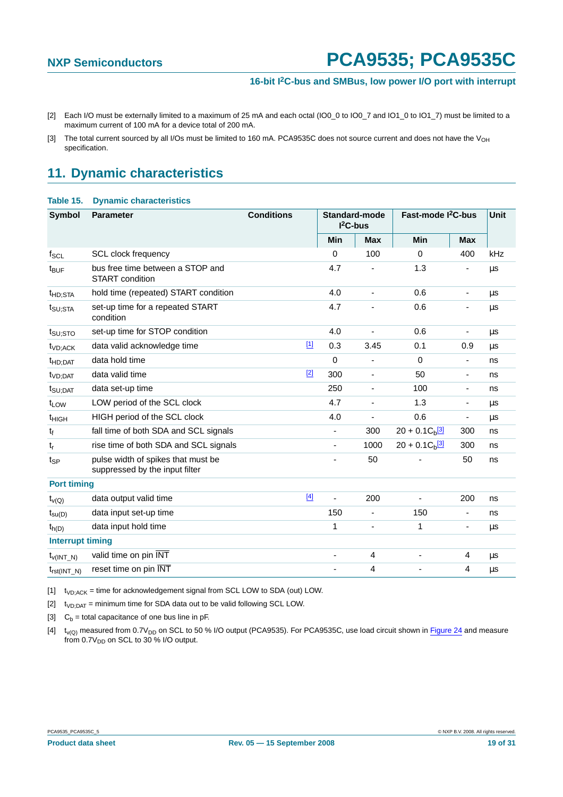- <span id="page-18-0"></span>[2] Each I/O must be externally limited to a maximum of 25 mA and each octal (IO0\_0 to IO0\_7 and IO1\_0 to IO1\_7) must be limited to a maximum current of 100 mA for a device total of 200 mA.
- <span id="page-18-1"></span>[3] The total current sourced by all I/Os must be limited to 160 mA. PCA9535C does not source current and does not have the V<sub>OH</sub> specification.

# <span id="page-18-6"></span>**11. Dynamic characteristics**

#### **Table 15. Dynamic characteristics**

| <b>Symbol</b>           | <b>Conditions</b><br><b>Parameter</b>                                |  |       | <b>Standard-mode</b><br>$I2C-bus$ |                          | Fast-mode I <sup>2</sup> C-bus |                          | <b>Unit</b> |
|-------------------------|----------------------------------------------------------------------|--|-------|-----------------------------------|--------------------------|--------------------------------|--------------------------|-------------|
|                         |                                                                      |  |       | Min                               | <b>Max</b>               | Min                            | <b>Max</b>               |             |
| $f_{SCL}$               | <b>SCL clock frequency</b>                                           |  |       | $\Omega$                          | 100                      | $\Omega$                       | 400                      | kHz         |
| $t_{\text{BUF}}$        | bus free time between a STOP and<br>START condition                  |  |       | 4.7                               |                          | 1.3                            |                          | μs          |
| t <sub>HD:STA</sub>     | hold time (repeated) START condition                                 |  |       | 4.0                               | ä,                       | 0.6                            |                          | μs          |
| t <sub>SU;STA</sub>     | set-up time for a repeated START<br>condition                        |  |       | 4.7                               |                          | 0.6                            |                          | μs          |
| t <sub>SU:STO</sub>     | set-up time for STOP condition                                       |  |       | 4.0                               |                          | 0.6                            | $\overline{\phantom{a}}$ | μs          |
| t <sub>VD;ACK</sub>     | data valid acknowledge time                                          |  | $[1]$ | 0.3                               | 3.45                     | 0.1                            | 0.9                      | μs          |
| t <sub>HD:DAT</sub>     | data hold time                                                       |  |       | $\Omega$                          |                          | $\Omega$                       | $\blacksquare$           | ns          |
| t <sub>VD:DAT</sub>     | data valid time                                                      |  | $[2]$ | 300                               | $\blacksquare$           | 50                             | $\overline{\phantom{a}}$ | ns          |
| $t_{\text{SU;DAT}}$     | data set-up time                                                     |  |       | 250                               | $\overline{\phantom{a}}$ | 100                            | $\overline{\phantom{a}}$ | ns          |
| t <sub>LOW</sub>        | LOW period of the SCL clock                                          |  |       | 4.7                               | $\overline{\phantom{a}}$ | 1.3                            | $\overline{\phantom{a}}$ | μs          |
| <sup>t</sup> HIGH       | HIGH period of the SCL clock                                         |  |       | 4.0                               |                          | 0.6                            | $\overline{\phantom{a}}$ | μs          |
| t                       | fall time of both SDA and SCL signals                                |  |       | $\overline{\phantom{a}}$          | 300                      | $20 + 0.1C_b$ <sup>[3]</sup>   | 300                      | ns          |
| $t_r$                   | rise time of both SDA and SCL signals                                |  |       |                                   | 1000                     | $20 + 0.1 C_b$ <sup>[3]</sup>  | 300                      | ns          |
| $t_{\mathsf{SP}}$       | pulse width of spikes that must be<br>suppressed by the input filter |  |       |                                   | 50                       |                                | 50                       | ns          |
| <b>Port timing</b>      |                                                                      |  |       |                                   |                          |                                |                          |             |
| $t_{V(Q)}$              | data output valid time                                               |  | $[4]$ | ä,                                | 200                      |                                | 200                      | ns          |
| $t_{\text{su}(D)}$      | data input set-up time                                               |  |       | 150                               | $\blacksquare$           | 150                            | $\blacksquare$           | ns          |
| $t_{h(D)}$              | data input hold time                                                 |  |       | 1                                 | $\overline{\phantom{a}}$ | 1                              | $\overline{\phantom{a}}$ | μs          |
| <b>Interrupt timing</b> |                                                                      |  |       |                                   |                          |                                |                          |             |
| $t_{V(INT_N)}$          | valid time on pin INT                                                |  |       |                                   | 4                        | ÷,                             | 4                        | μs          |
| $t_{rst(INT_N)}$        | reset time on pin INT                                                |  |       |                                   | $\overline{4}$           |                                | 4                        | μs          |

<span id="page-18-2"></span> $[t]$  t<sub>VD;ACK</sub> = time for acknowledgement signal from SCL LOW to SDA (out) LOW.

<span id="page-18-3"></span> $[2]$  t<sub>VD;DAT</sub> = minimum time for SDA data out to be valid following SCL LOW.

<span id="page-18-4"></span>[3]  $C_b =$  total capacitance of one bus line in pF.

<span id="page-18-5"></span> $[t]$  t<sub>v(Q)</sub> measured from 0.7V<sub>DD</sub> on SCL to 50 % I/O output (PCA9535). For PCA9535C, use load circuit shown in [Figure](#page-20-0) 24 and measure from 0.7 $V_{DD}$  on SCL to 30 % I/O output.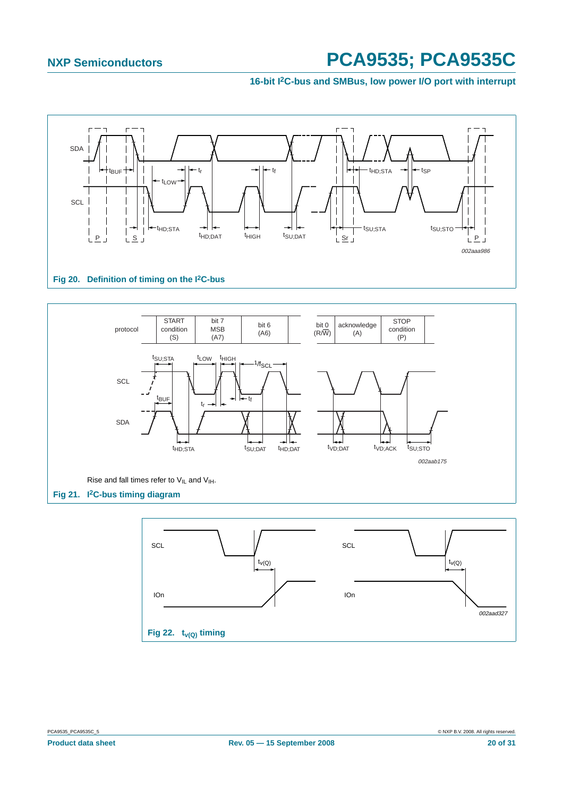#### **16-bit I2C-bus and SMBus, low power I/O port with interrupt**





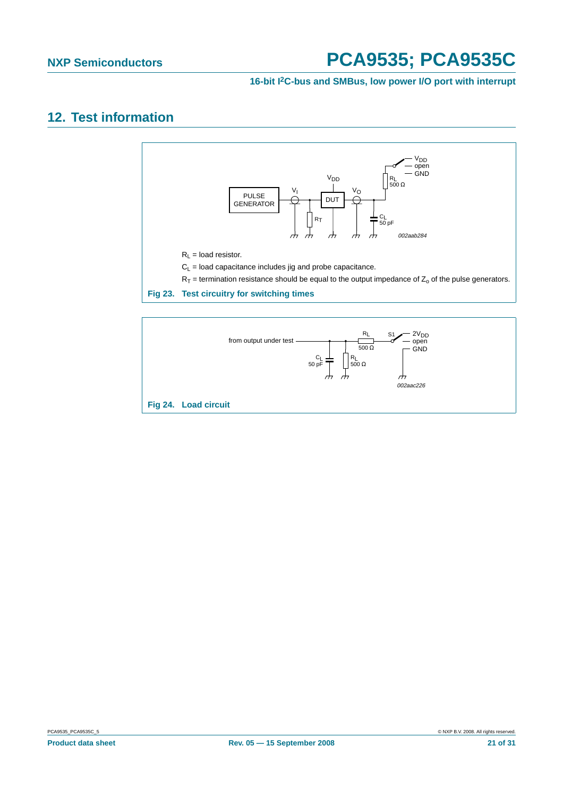# <span id="page-20-1"></span>**12. Test information**



<span id="page-20-0"></span>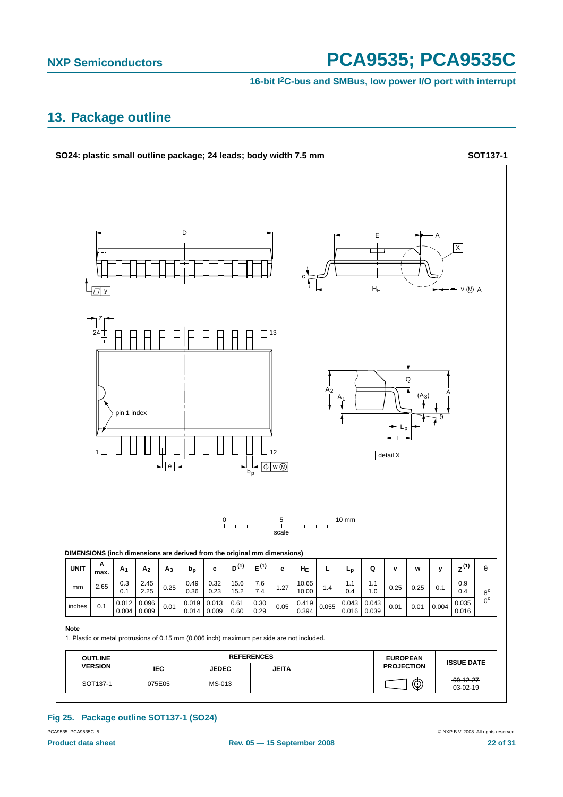#### **16-bit I2C-bus and SMBus, low power I/O port with interrupt**

## <span id="page-21-0"></span>**13. Package outline**



### **Fig 25. Package outline SOT137-1 (SO24)**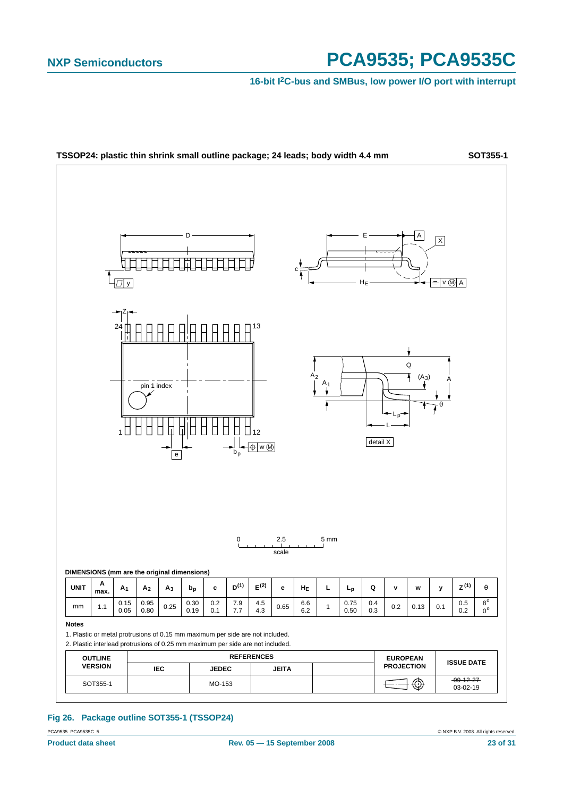**16-bit I2C-bus and SMBus, low power I/O port with interrupt**



### **Fig 26. Package outline SOT355-1 (TSSOP24)**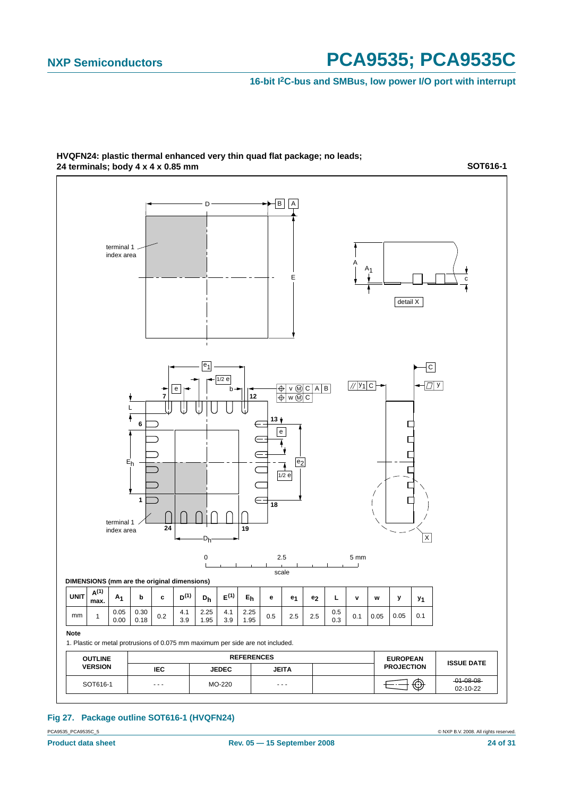#### **16-bit I2C-bus and SMBus, low power I/O port with interrupt**



#### **HVQFN24: plastic thermal enhanced very thin quad flat package; no leads; 24 terminals; body 4 x 4 x 0.85 mm**

**SOT616-1**

#### **Fig 27. Package outline SOT616-1 (HVQFN24)**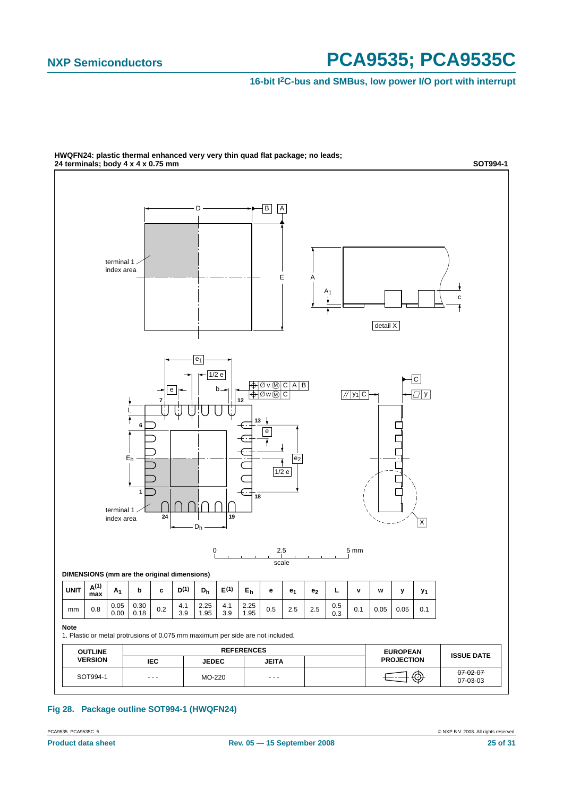**16-bit I2C-bus and SMBus, low power I/O port with interrupt**



**HWQFN24: plastic thermal enhanced very very thin quad flat package; no leads;**

#### **Fig 28. Package outline SOT994-1 (HWQFN24)**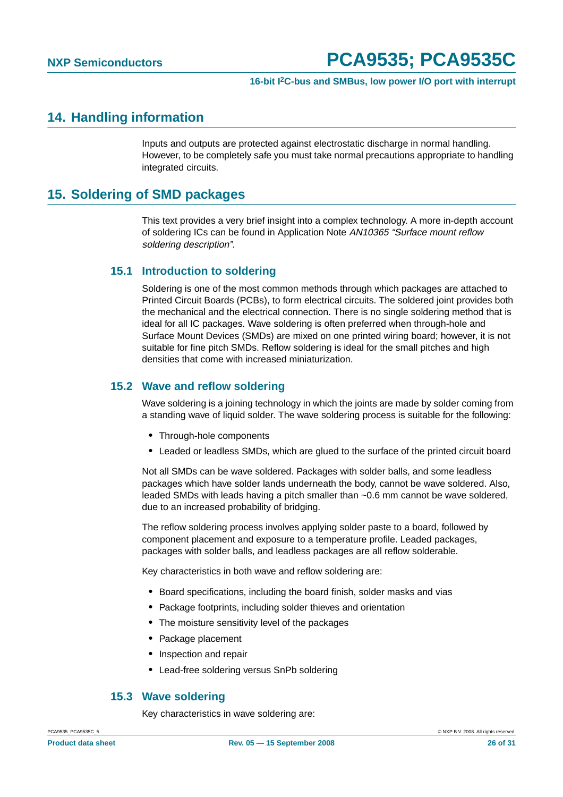### <span id="page-25-0"></span>**14. Handling information**

Inputs and outputs are protected against electrostatic discharge in normal handling. However, to be completely safe you must take normal precautions appropriate to handling integrated circuits.

## <span id="page-25-1"></span>**15. Soldering of SMD packages**

This text provides a very brief insight into a complex technology. A more in-depth account of soldering ICs can be found in Application Note AN10365 "Surface mount reflow soldering description".

### <span id="page-25-2"></span>**15.1 Introduction to soldering**

Soldering is one of the most common methods through which packages are attached to Printed Circuit Boards (PCBs), to form electrical circuits. The soldered joint provides both the mechanical and the electrical connection. There is no single soldering method that is ideal for all IC packages. Wave soldering is often preferred when through-hole and Surface Mount Devices (SMDs) are mixed on one printed wiring board; however, it is not suitable for fine pitch SMDs. Reflow soldering is ideal for the small pitches and high densities that come with increased miniaturization.

#### <span id="page-25-3"></span>**15.2 Wave and reflow soldering**

Wave soldering is a joining technology in which the joints are made by solder coming from a standing wave of liquid solder. The wave soldering process is suitable for the following:

- **•** Through-hole components
- **•** Leaded or leadless SMDs, which are glued to the surface of the printed circuit board

Not all SMDs can be wave soldered. Packages with solder balls, and some leadless packages which have solder lands underneath the body, cannot be wave soldered. Also, leaded SMDs with leads having a pitch smaller than ~0.6 mm cannot be wave soldered, due to an increased probability of bridging.

The reflow soldering process involves applying solder paste to a board, followed by component placement and exposure to a temperature profile. Leaded packages, packages with solder balls, and leadless packages are all reflow solderable.

Key characteristics in both wave and reflow soldering are:

- **•** Board specifications, including the board finish, solder masks and vias
- **•** Package footprints, including solder thieves and orientation
- **•** The moisture sensitivity level of the packages
- **•** Package placement
- **•** Inspection and repair
- **•** Lead-free soldering versus SnPb soldering

#### <span id="page-25-4"></span>**15.3 Wave soldering**

Key characteristics in wave soldering are: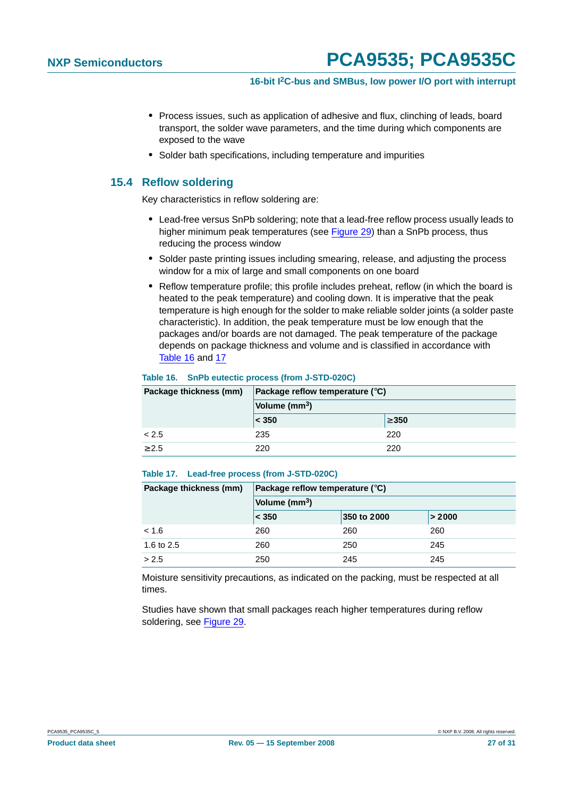- **•** Process issues, such as application of adhesive and flux, clinching of leads, board transport, the solder wave parameters, and the time during which components are exposed to the wave
- **•** Solder bath specifications, including temperature and impurities

#### <span id="page-26-0"></span>**15.4 Reflow soldering**

Key characteristics in reflow soldering are:

- **•** Lead-free versus SnPb soldering; note that a lead-free reflow process usually leads to higher minimum peak temperatures (see Figure 29) than a SnPb process, thus reducing the process window
- **•** Solder paste printing issues including smearing, release, and adjusting the process window for a mix of large and small components on one board
- **•** Reflow temperature profile; this profile includes preheat, reflow (in which the board is heated to the peak temperature) and cooling down. It is imperative that the peak temperature is high enough for the solder to make reliable solder joints (a solder paste characteristic). In addition, the peak temperature must be low enough that the packages and/or boards are not damaged. The peak temperature of the package depends on package thickness and volume and is classified in accordance with Table 16 and 17

#### **Table 16. SnPb eutectic process (from J-STD-020C)**

| Package thickness (mm) | Package reflow temperature $(^\circ \text{C})$ |            |  |  |  |
|------------------------|------------------------------------------------|------------|--|--|--|
|                        | Volume (mm <sup>3</sup> )                      |            |  |  |  |
|                        | < 350                                          | $\geq 350$ |  |  |  |
| < 2.5                  | 235                                            | 220        |  |  |  |
| $\geq 2.5$             | 220                                            | 220        |  |  |  |

#### **Table 17. Lead-free process (from J-STD-020C)**

| Package thickness (mm) | Package reflow temperature $(^\circ \mathsf{C})$ |             |        |  |  |
|------------------------|--------------------------------------------------|-------------|--------|--|--|
|                        | Volume (mm <sup>3</sup> )                        |             |        |  |  |
|                        | < 350                                            | 350 to 2000 | > 2000 |  |  |
| < 1.6                  | 260                                              | 260         | 260    |  |  |
| 1.6 to 2.5             | 260                                              | 250         | 245    |  |  |
| > 2.5                  | 250                                              | 245         | 245    |  |  |

Moisture sensitivity precautions, as indicated on the packing, must be respected at all times.

Studies have shown that small packages reach higher temperatures during reflow soldering, see Figure 29.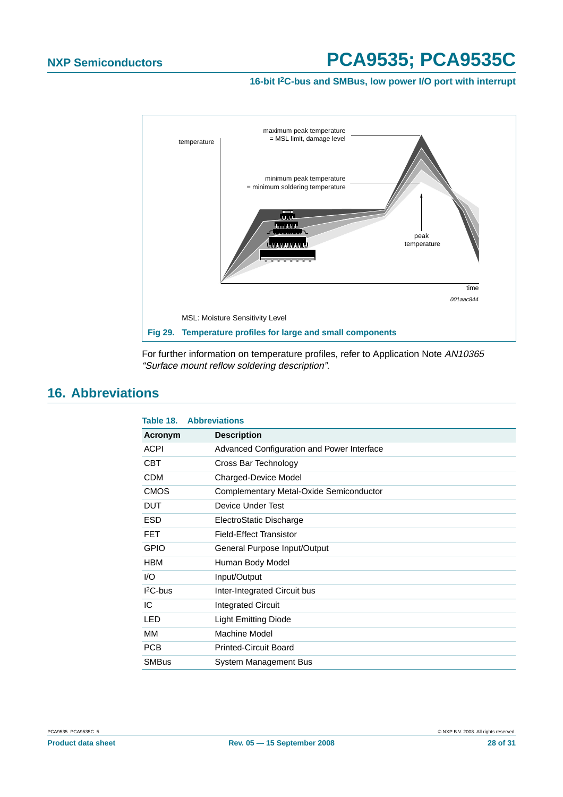**16-bit I2C-bus and SMBus, low power I/O port with interrupt**



For further information on temperature profiles, refer to Application Note AN10365 "Surface mount reflow soldering description".

## <span id="page-27-0"></span>**16. Abbreviations**

| Table 18.    | <b>Abbreviations</b>                       |
|--------------|--------------------------------------------|
| Acronym      | <b>Description</b>                         |
| <b>ACPI</b>  | Advanced Configuration and Power Interface |
| <b>CBT</b>   | Cross Bar Technology                       |
| <b>CDM</b>   | Charged-Device Model                       |
| <b>CMOS</b>  | Complementary Metal-Oxide Semiconductor    |
| <b>DUT</b>   | Device Under Test                          |
| <b>ESD</b>   | ElectroStatic Discharge                    |
| <b>FET</b>   | <b>Field-Effect Transistor</b>             |
| <b>GPIO</b>  | General Purpose Input/Output               |
| <b>HBM</b>   | Human Body Model                           |
| 1/O          | Input/Output                               |
| $12C$ -bus   | Inter-Integrated Circuit bus               |
| IC           | <b>Integrated Circuit</b>                  |
| <b>LED</b>   | <b>Light Emitting Diode</b>                |
| MМ           | Machine Model                              |
| <b>PCB</b>   | <b>Printed-Circuit Board</b>               |
| <b>SMBus</b> | System Management Bus                      |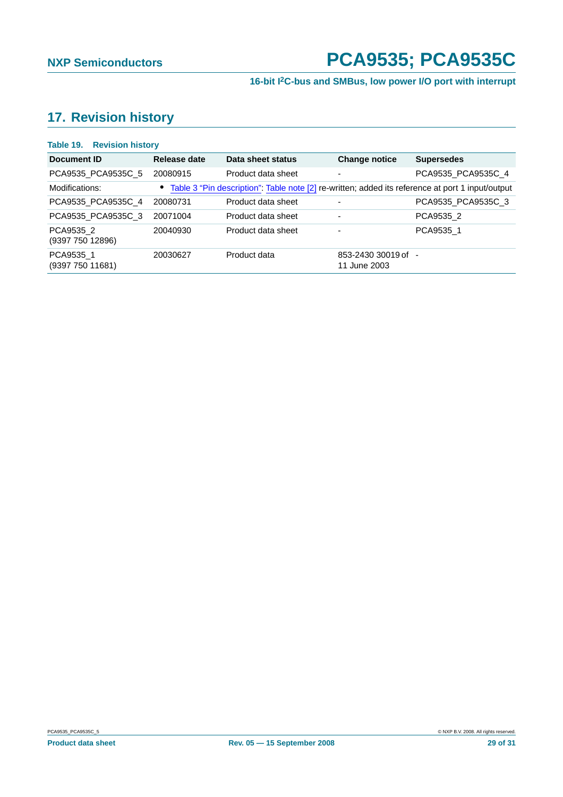# <span id="page-28-0"></span>**17. Revision history**

| Table 19.<br><b>Revision history</b> |              |                                                                                                    |                                     |                    |
|--------------------------------------|--------------|----------------------------------------------------------------------------------------------------|-------------------------------------|--------------------|
| Document ID                          | Release date | Data sheet status                                                                                  | <b>Change notice</b>                | <b>Supersedes</b>  |
| PCA9535 PCA9535C 5                   | 20080915     | Product data sheet                                                                                 | $\overline{\phantom{0}}$            | PCA9535 PCA9535C 4 |
| Modifications:                       |              | • Table 3 "Pin description": Table note [2] re-written; added its reference at port 1 input/output |                                     |                    |
| PCA9535 PCA9535C 4                   | 20080731     | Product data sheet                                                                                 | $\overline{\phantom{a}}$            | PCA9535 PCA9535C 3 |
| PCA9535_PCA9535C_3                   | 20071004     | Product data sheet                                                                                 | $\overline{\phantom{a}}$            | PCA9535 2          |
| PCA9535 2<br>(9397 750 12896)        | 20040930     | Product data sheet                                                                                 | $\overline{\phantom{0}}$            | PCA9535 1          |
| PCA9535_1<br>(9397 750 11681)        | 20030627     | Product data                                                                                       | 853-2430 30019 of -<br>11 June 2003 |                    |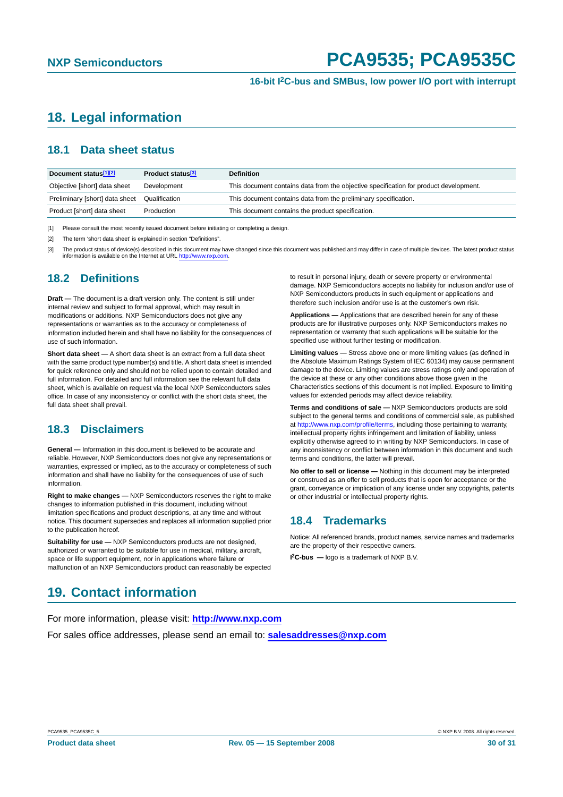# <span id="page-29-0"></span>**18. Legal information**

#### <span id="page-29-1"></span>**18.1 Data sheet status**

| Document status <sup>[1][2]</sup> | Product status <sup>[3]</sup> | <b>Definition</b>                                                                     |
|-----------------------------------|-------------------------------|---------------------------------------------------------------------------------------|
| Objective [short] data sheet      | Development                   | This document contains data from the objective specification for product development. |
| Preliminary [short] data sheet    | Qualification                 | This document contains data from the preliminary specification.                       |
| Product [short] data sheet        | Production                    | This document contains the product specification.                                     |

[1] Please consult the most recently issued document before initiating or completing a design.

[2] The term 'short data sheet' is explained in section "Definitions".

[3] The product status of device(s) described in this document may have changed since this document was published and may differ in case of multiple devices. The latest product status information is available on the Internet at URL http://www.nxp.com.

#### <span id="page-29-2"></span>**18.2 Definitions**

**Draft —** The document is a draft version only. The content is still under internal review and subject to formal approval, which may result in modifications or additions. NXP Semiconductors does not give any representations or warranties as to the accuracy or completeness of information included herein and shall have no liability for the consequences of use of such information.

**Short data sheet —** A short data sheet is an extract from a full data sheet with the same product type number(s) and title. A short data sheet is intended for quick reference only and should not be relied upon to contain detailed and full information. For detailed and full information see the relevant full data sheet, which is available on request via the local NXP Semiconductors sales office. In case of any inconsistency or conflict with the short data sheet, the full data sheet shall prevail.

### <span id="page-29-3"></span>**18.3 Disclaimers**

**General —** Information in this document is believed to be accurate and reliable. However, NXP Semiconductors does not give any representations or warranties, expressed or implied, as to the accuracy or completeness of such information and shall have no liability for the consequences of use of such information.

**Right to make changes —** NXP Semiconductors reserves the right to make changes to information published in this document, including without limitation specifications and product descriptions, at any time and without notice. This document supersedes and replaces all information supplied prior to the publication hereof.

**Suitability for use - NXP** Semiconductors products are not designed, authorized or warranted to be suitable for use in medical, military, aircraft, space or life support equipment, nor in applications where failure or malfunction of an NXP Semiconductors product can reasonably be expected to result in personal injury, death or severe property or environmental damage. NXP Semiconductors accepts no liability for inclusion and/or use of NXP Semiconductors products in such equipment or applications and therefore such inclusion and/or use is at the customer's own risk.

**Applications —** Applications that are described herein for any of these products are for illustrative purposes only. NXP Semiconductors makes no representation or warranty that such applications will be suitable for the specified use without further testing or modification.

**Limiting values —** Stress above one or more limiting values (as defined in the Absolute Maximum Ratings System of IEC 60134) may cause permanent damage to the device. Limiting values are stress ratings only and operation of the device at these or any other conditions above those given in the Characteristics sections of this document is not implied. Exposure to limiting values for extended periods may affect device reliability.

**Terms and conditions of sale —** NXP Semiconductors products are sold subject to the general terms and conditions of commercial sale, as published at http://www.nxp.com/profile/terms, including those pertaining to warranty, intellectual property rights infringement and limitation of liability, unless explicitly otherwise agreed to in writing by NXP Semiconductors. In case of any inconsistency or conflict between information in this document and such terms and conditions, the latter will prevail.

**No offer to sell or license —** Nothing in this document may be interpreted or construed as an offer to sell products that is open for acceptance or the grant, conveyance or implication of any license under any copyrights, patents or other industrial or intellectual property rights.

#### <span id="page-29-4"></span>**18.4 Trademarks**

Notice: All referenced brands, product names, service names and trademarks are the property of their respective owners.

**I 2C-bus —** logo is a trademark of NXP B.V.

### <span id="page-29-5"></span>**19. Contact information**

For more information, please visit: **http://www.nxp.com**

For sales office addresses, please send an email to: **salesaddresses@nxp.com**